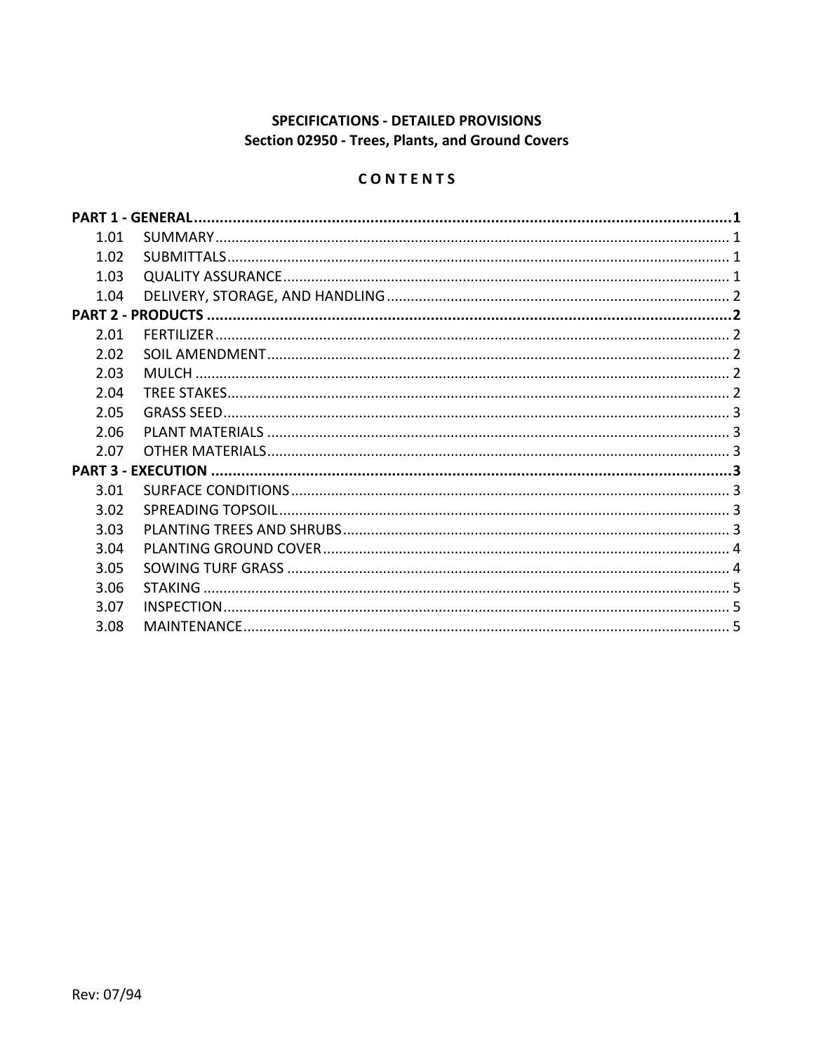# SPECIFICATIONS - DETAILED PROVISIONS Section 02950 - Trees, Plants, and Ground Covers

# CONTENTS

|      | <b>PART 1 - GENERAL</b> |  |
|------|-------------------------|--|
| 1.01 |                         |  |
| 1.02 |                         |  |
| 1.03 |                         |  |
| 1.04 |                         |  |
|      |                         |  |
| 2.01 |                         |  |
| 2.02 |                         |  |
| 2.03 |                         |  |
| 2.04 |                         |  |
| 2.05 |                         |  |
| 2.06 |                         |  |
| 2.07 |                         |  |
|      |                         |  |
| 3.01 |                         |  |
| 3.02 |                         |  |
| 3.03 |                         |  |
| 3.04 |                         |  |
| 3.05 |                         |  |
| 3.06 | <b>STAKING</b>          |  |
| 3.07 |                         |  |
| 3.08 |                         |  |
|      |                         |  |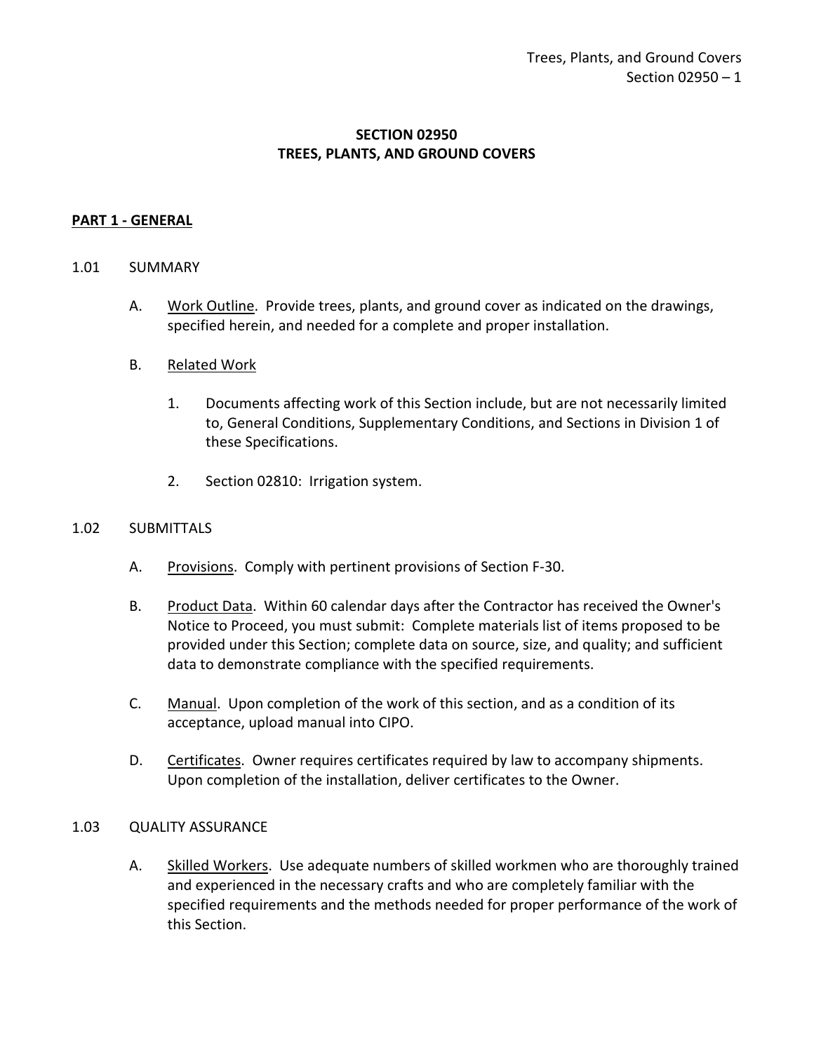## **SECTION 02950 TREES, PLANTS, AND GROUND COVERS**

#### <span id="page-2-0"></span>**PART 1 - GENERAL**

#### <span id="page-2-1"></span>1.01 SUMMARY

- A. Work Outline. Provide trees, plants, and ground cover as indicated on the drawings, specified herein, and needed for a complete and proper installation.
- B. Related Work
	- 1. Documents affecting work of this Section include, but are not necessarily limited to, General Conditions, Supplementary Conditions, and Sections in Division 1 of these Specifications.
	- 2. Section 02810: Irrigation system.

#### <span id="page-2-2"></span>1.02 SUBMITTALS

- A. Provisions. Comply with pertinent provisions of Section F-30.
- B. Product Data. Within 60 calendar days after the Contractor has received the Owner's Notice to Proceed, you must submit: Complete materials list of items proposed to be provided under this Section; complete data on source, size, and quality; and sufficient data to demonstrate compliance with the specified requirements.
- C. Manual. Upon completion of the work of this section, and as a condition of its acceptance, upload manual into CIPO.
- D. Certificates. Owner requires certificates required by law to accompany shipments. Upon completion of the installation, deliver certificates to the Owner.

#### <span id="page-2-3"></span>1.03 QUALITY ASSURANCE

A. Skilled Workers. Use adequate numbers of skilled workmen who are thoroughly trained and experienced in the necessary crafts and who are completely familiar with the specified requirements and the methods needed for proper performance of the work of this Section.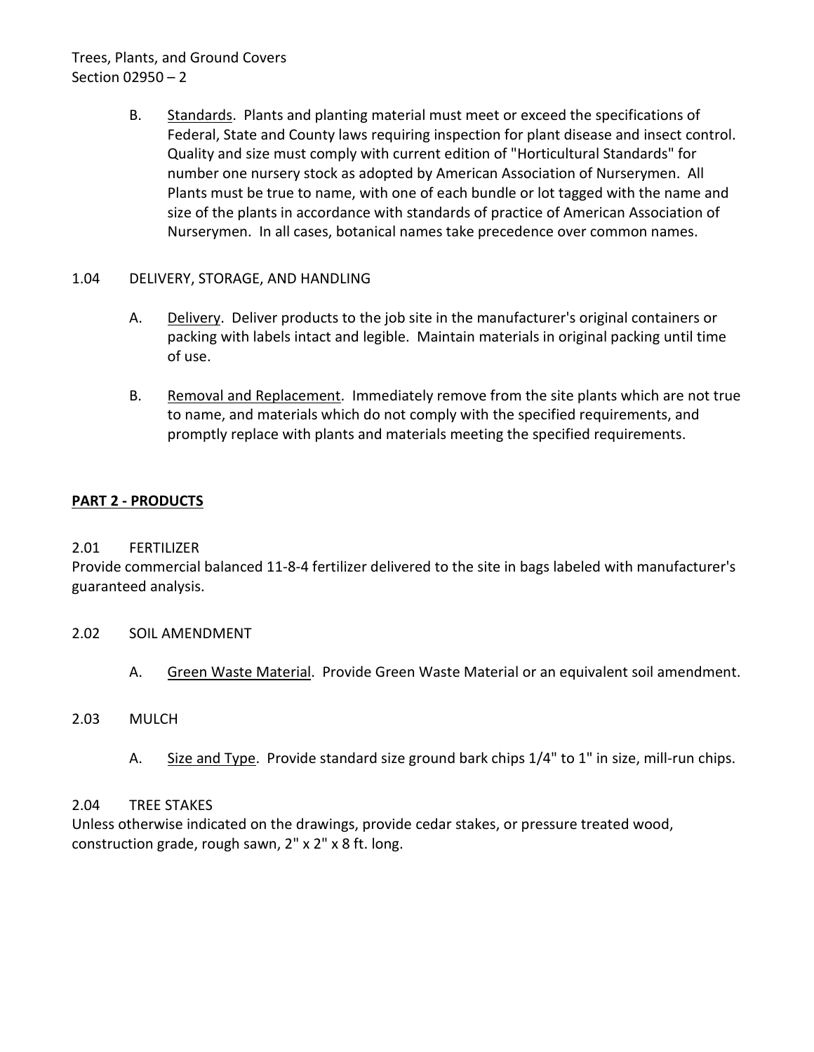# Trees, Plants, and Ground Covers Section 02950 – 2

- B. Standards. Plants and planting material must meet or exceed the specifications of Federal, State and County laws requiring inspection for plant disease and insect control. Quality and size must comply with current edition of "Horticultural Standards" for number one nursery stock as adopted by American Association of Nurserymen. All Plants must be true to name, with one of each bundle or lot tagged with the name and size of the plants in accordance with standards of practice of American Association of Nurserymen. In all cases, botanical names take precedence over common names.
- <span id="page-3-0"></span>1.04 DELIVERY, STORAGE, AND HANDLING
	- A. Delivery. Deliver products to the job site in the manufacturer's original containers or packing with labels intact and legible. Maintain materials in original packing until time of use.
	- B. Removal and Replacement. Immediately remove from the site plants which are not true to name, and materials which do not comply with the specified requirements, and promptly replace with plants and materials meeting the specified requirements.

## <span id="page-3-1"></span>**PART 2 - PRODUCTS**

## <span id="page-3-2"></span>2.01 FERTILIZER

Provide commercial balanced 11-8-4 fertilizer delivered to the site in bags labeled with manufacturer's guaranteed analysis.

#### <span id="page-3-3"></span>2.02 SOIL AMENDMENT

A. Green Waste Material. Provide Green Waste Material or an equivalent soil amendment.

#### <span id="page-3-4"></span>2.03 MULCH

A. Size and Type. Provide standard size ground bark chips 1/4" to 1" in size, mill-run chips.

#### <span id="page-3-5"></span>2.04 TREE STAKES

<span id="page-3-6"></span>Unless otherwise indicated on the drawings, provide cedar stakes, or pressure treated wood, construction grade, rough sawn, 2" x 2" x 8 ft. long.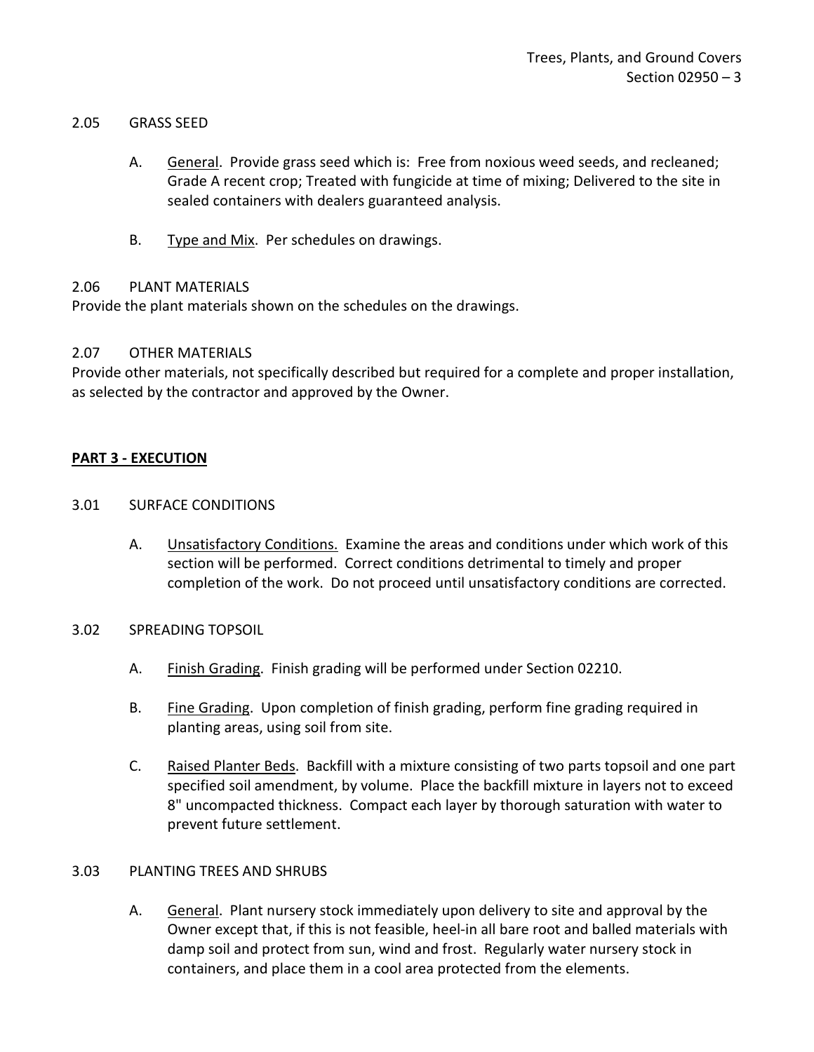#### 2.05 GRASS SEED

- A. General. Provide grass seed which is: Free from noxious weed seeds, and recleaned; Grade A recent crop; Treated with fungicide at time of mixing; Delivered to the site in sealed containers with dealers guaranteed analysis.
- B. Type and Mix. Per schedules on drawings.

## <span id="page-4-0"></span>2.06 PLANT MATERIALS

Provide the plant materials shown on the schedules on the drawings.

## <span id="page-4-1"></span>2.07 OTHER MATERIALS

Provide other materials, not specifically described but required for a complete and proper installation, as selected by the contractor and approved by the Owner.

## <span id="page-4-2"></span>**PART 3 - EXECUTION**

## <span id="page-4-3"></span>3.01 SURFACE CONDITIONS

- A. Unsatisfactory Conditions. Examine the areas and conditions under which work of this section will be performed. Correct conditions detrimental to timely and proper completion of the work. Do not proceed until unsatisfactory conditions are corrected.
- <span id="page-4-4"></span>3.02 SPREADING TOPSOIL
	- A. Finish Grading. Finish grading will be performed under Section 02210.
	- B. Fine Grading. Upon completion of finish grading, perform fine grading required in planting areas, using soil from site.
	- C. Raised Planter Beds. Backfill with a mixture consisting of two parts topsoil and one part specified soil amendment, by volume. Place the backfill mixture in layers not to exceed 8" uncompacted thickness. Compact each layer by thorough saturation with water to prevent future settlement.

#### <span id="page-4-5"></span>3.03 PLANTING TREES AND SHRUBS

A. General. Plant nursery stock immediately upon delivery to site and approval by the Owner except that, if this is not feasible, heel-in all bare root and balled materials with damp soil and protect from sun, wind and frost. Regularly water nursery stock in containers, and place them in a cool area protected from the elements.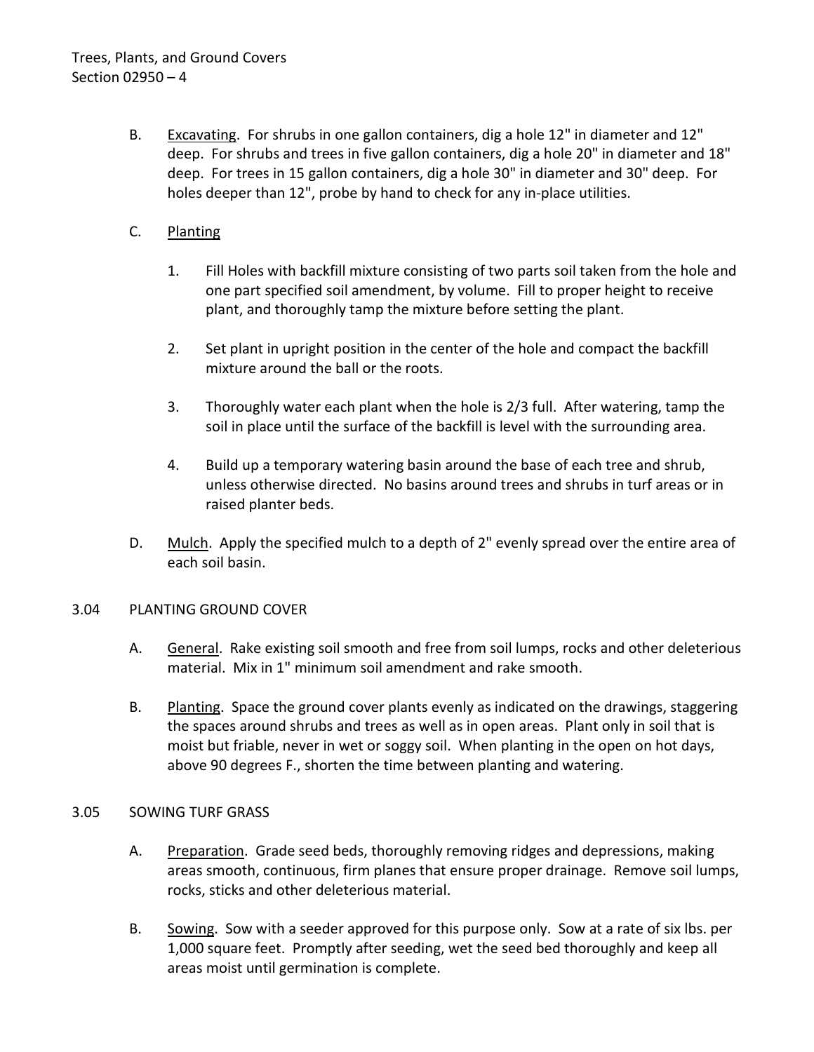- B. Excavating. For shrubs in one gallon containers, dig a hole 12" in diameter and 12" deep. For shrubs and trees in five gallon containers, dig a hole 20" in diameter and 18" deep. For trees in 15 gallon containers, dig a hole 30" in diameter and 30" deep. For holes deeper than 12", probe by hand to check for any in-place utilities.
- C. Planting
	- 1. Fill Holes with backfill mixture consisting of two parts soil taken from the hole and one part specified soil amendment, by volume. Fill to proper height to receive plant, and thoroughly tamp the mixture before setting the plant.
	- 2. Set plant in upright position in the center of the hole and compact the backfill mixture around the ball or the roots.
	- 3. Thoroughly water each plant when the hole is 2/3 full. After watering, tamp the soil in place until the surface of the backfill is level with the surrounding area.
	- 4. Build up a temporary watering basin around the base of each tree and shrub, unless otherwise directed. No basins around trees and shrubs in turf areas or in raised planter beds.
- D. Mulch. Apply the specified mulch to a depth of 2" evenly spread over the entire area of each soil basin.

## <span id="page-5-0"></span>3.04 PLANTING GROUND COVER

- A. General. Rake existing soil smooth and free from soil lumps, rocks and other deleterious material. Mix in 1" minimum soil amendment and rake smooth.
- B. Planting. Space the ground cover plants evenly as indicated on the drawings, staggering the spaces around shrubs and trees as well as in open areas. Plant only in soil that is moist but friable, never in wet or soggy soil. When planting in the open on hot days, above 90 degrees F., shorten the time between planting and watering.

## <span id="page-5-1"></span>3.05 SOWING TURF GRASS

- A. Preparation. Grade seed beds, thoroughly removing ridges and depressions, making areas smooth, continuous, firm planes that ensure proper drainage. Remove soil lumps, rocks, sticks and other deleterious material.
- B. Sowing. Sow with a seeder approved for this purpose only. Sow at a rate of six lbs. per 1,000 square feet. Promptly after seeding, wet the seed bed thoroughly and keep all areas moist until germination is complete.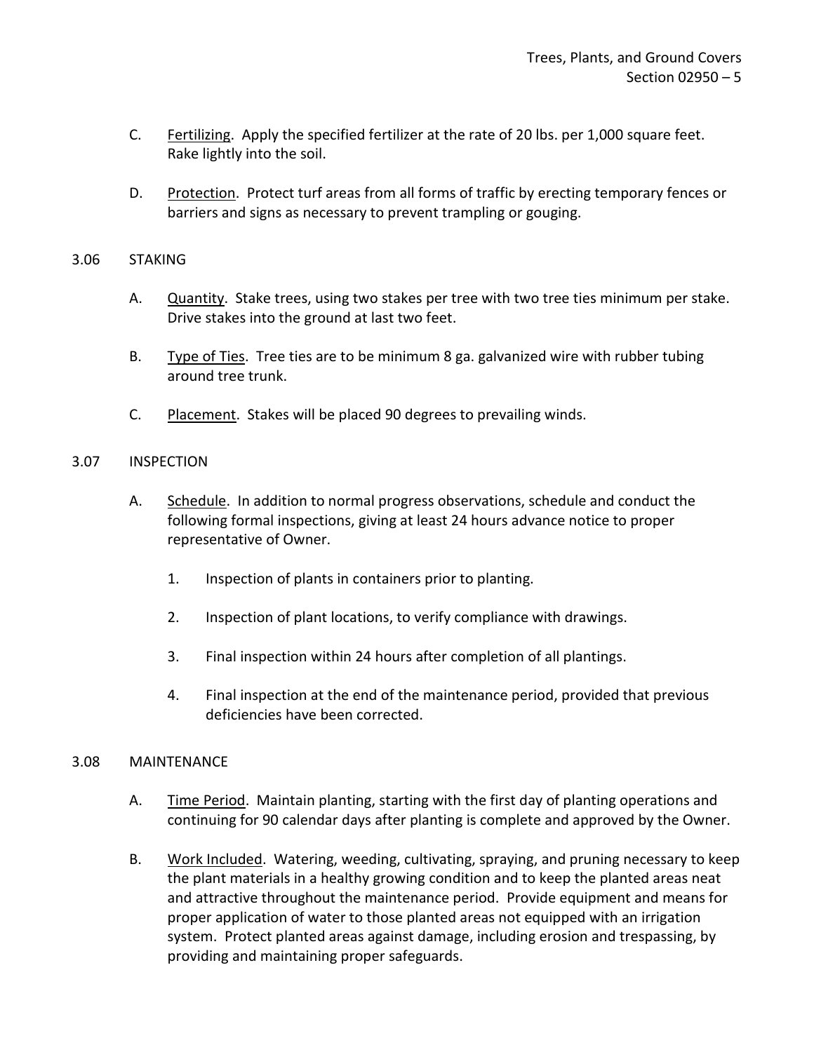- C. Fertilizing. Apply the specified fertilizer at the rate of 20 lbs. per 1,000 square feet. Rake lightly into the soil.
- D. Protection. Protect turf areas from all forms of traffic by erecting temporary fences or barriers and signs as necessary to prevent trampling or gouging.

#### <span id="page-6-0"></span>3.06 STAKING

- A. Quantity. Stake trees, using two stakes per tree with two tree ties minimum per stake. Drive stakes into the ground at last two feet.
- B. Type of Ties. Tree ties are to be minimum 8 ga. galvanized wire with rubber tubing around tree trunk.
- C. Placement. Stakes will be placed 90 degrees to prevailing winds.

## <span id="page-6-1"></span>3.07 INSPECTION

- A. Schedule. In addition to normal progress observations, schedule and conduct the following formal inspections, giving at least 24 hours advance notice to proper representative of Owner.
	- 1. Inspection of plants in containers prior to planting.
	- 2. Inspection of plant locations, to verify compliance with drawings.
	- 3. Final inspection within 24 hours after completion of all plantings.
	- 4. Final inspection at the end of the maintenance period, provided that previous deficiencies have been corrected.

#### <span id="page-6-2"></span>3.08 MAINTENANCE

- A. Time Period. Maintain planting, starting with the first day of planting operations and continuing for 90 calendar days after planting is complete and approved by the Owner.
- B. Work Included. Watering, weeding, cultivating, spraying, and pruning necessary to keep the plant materials in a healthy growing condition and to keep the planted areas neat and attractive throughout the maintenance period. Provide equipment and means for proper application of water to those planted areas not equipped with an irrigation system. Protect planted areas against damage, including erosion and trespassing, by providing and maintaining proper safeguards.